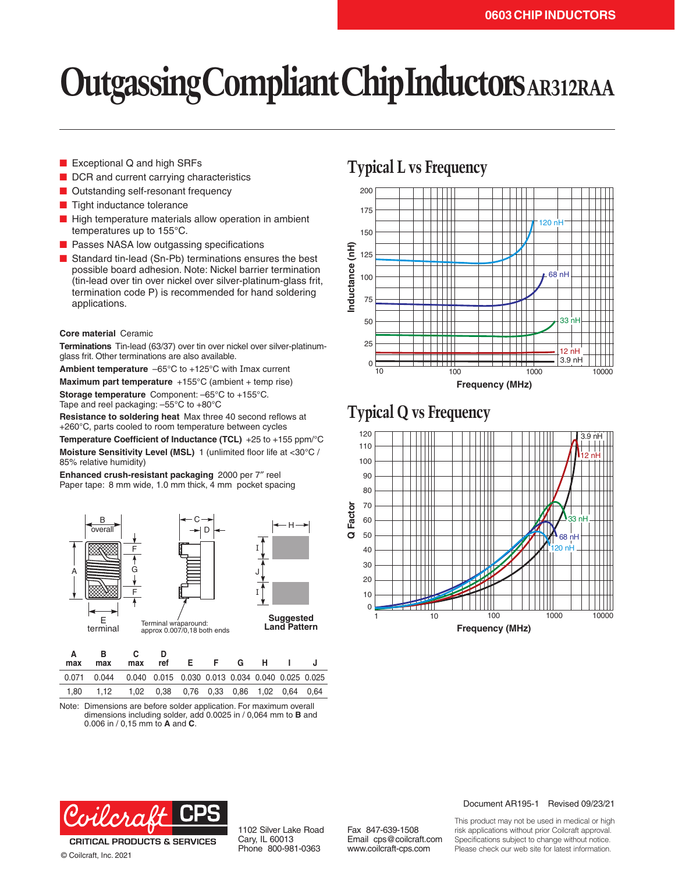# **Outgassing Compliant Chip Inductors AR312RAA**

- Exceptional Q and high SRFs
- DCR and current carrying characteristics
- Outstanding self-resonant frequency
- Tight inductance tolerance
- High temperature materials allow operation in ambient temperatures up to 155°C.
- Passes NASA low outgassing specifications
- Standard tin-lead (Sn-Pb) terminations ensures the best possible board adhesion. Note: Nickel barrier termination (tin-lead over tin over nickel over silver-platinum-glass frit, termination code P) is recommended for hand soldering applications.

#### **Core material** Ceramic

**Terminations** Tin-lead (63/37) over tin over nickel over silver-platinumglass frit. Other terminations are also available.

**Ambient temperature** –65°C to +125°C with Imax current

**Maximum part temperature** +155°C (ambient + temp rise) **Storage temperature** Component: –65°C to +155°C.

Tape and reel packaging: –55°C to +80°C

**Resistance to soldering heat** Max three 40 second reflows at +260°C, parts cooled to room temperature between cycles

**Temperature Coefficient of Inductance (TCL)** +25 to +155 ppm/°C **Moisture Sensitivity Level (MSL)** 1 (unlimited floor life at <30°C / 85% relative humidity)

**Enhanced crush-resistant packaging** 2000 per 7″ reel Paper tape: 8 mm wide, 1.0 mm thick, 4 mm pocket spacing



| max  | max                                                                  | max | ref                                            | F. | - F - | G. | н. |  |
|------|----------------------------------------------------------------------|-----|------------------------------------------------|----|-------|----|----|--|
|      | 0.071  0.044  0.040  0.015  0.030  0.013  0.034  0.040  0.025  0.025 |     |                                                |    |       |    |    |  |
| 1.80 | 1.12                                                                 |     | 1.02  0.38  0.76  0.33  0.86  1.02  0.64  0.64 |    |       |    |    |  |

Note: Dimensions are before solder application. For maximum overall dimensions including solder, add 0.0025 in / 0,064 mm to **B** and 0.006 in / 0,15 mm to **A** and **C**.

### **Typical L vs Frequency**



### **Typical Q vs Frequency**





© Coilcraft, Inc. 2021

1102 Silver Lake Road Cary, IL 60013 Phone 800-981-0363

Fax 847-639-1508 Email cps@coilcraft.com www.coilcraft-cps.com

#### Document AR195-1 Revised 09/23/21

This product may not be used in medical or high risk applications without prior Coilcraft approval. Specifications subject to change without notice. Please check our web site for latest information.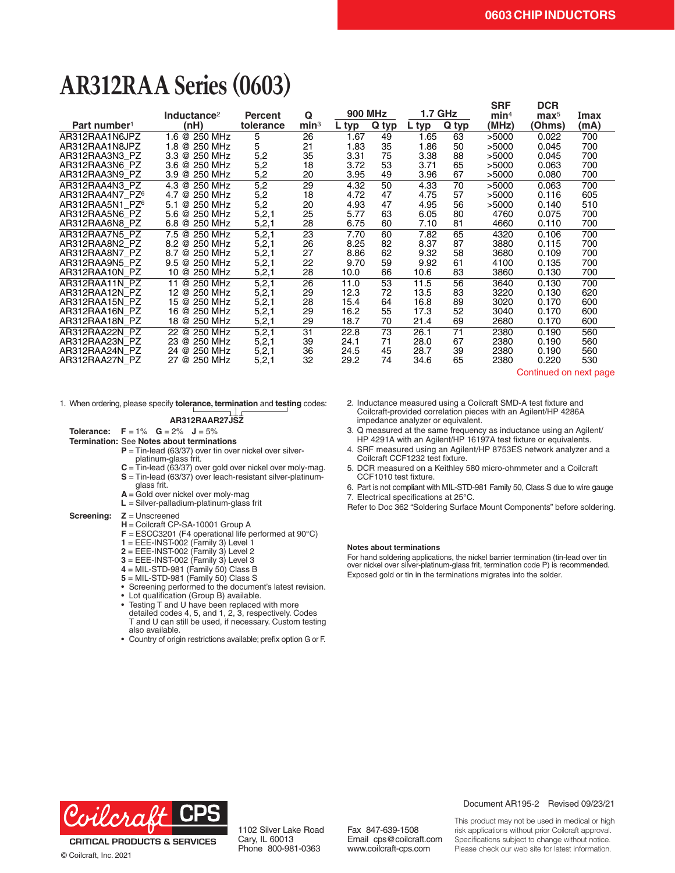# **AR312RAA Series (0603)**

|                             |                          |                |                  |                |       |                |       | <b>SRF</b>       | <b>DCR</b>       |      |
|-----------------------------|--------------------------|----------------|------------------|----------------|-------|----------------|-------|------------------|------------------|------|
|                             | Inductance <sup>2</sup>  | <b>Percent</b> | Q                | <b>900 MHz</b> |       | <b>1.7 GHz</b> |       | min <sup>4</sup> | $\mathbf{max}^5$ | Imax |
| Part number <sup>1</sup>    | (nH)                     | tolerance      | min <sup>3</sup> | $L$ typ        | Q typ | $L$ typ        | Q typ | (MHz)            | (Ohms)           | (mA) |
| AR312RAA1N6JPZ              | 1.6 @ 250 MHz            | 5              | 26               | 1.67           | 49    | 1.65           | 63    | >5000            | 0.022            | 700  |
| AR312RAA1N8JPZ              | 1.8 @ 250 MHz            | 5              | 21               | 1.83           | 35    | 1.86           | 50    | >5000            | 0.045            | 700  |
| AR312RAA3N3 PZ              | 3.3 @ 250 MHz            | 5,2            | 35               | 3.31           | 75    | 3.38           | 88    | >5000            | 0.045            | 700  |
| AR312RAA3N6 PZ              | 3.6 @ 250 MHz            | 5,2            | 18               | 3.72           | 53    | 3.71           | 65    | >5000            | 0.063            | 700  |
| AR312RAA3N9 PZ              | @ 250 MHz<br>3.9         | 5,2            | 20               | 3.95           | 49    | 3.96           | 67    | >5000            | 0.080            | 700  |
| AR312RAA4N3 PZ              | 4.3 @ 250 MHz            | 5,2            | 29               | 4.32           | 50    | 4.33           | 70    | >5000            | 0.063            | 700  |
| AR312RAA4N7 PZ6             | 4.7 @ 250 MHz            | 5,2            | 18               | 4.72           | 47    | 4.75           | 57    | >5000            | 0.116            | 605  |
| AR312RAA5N1 PZ <sup>6</sup> | 5.1 @ 250 MHz            | 5,2            | 20               | 4.93           | 47    | 4.95           | 56    | >5000            | 0.140            | 510  |
| AR312RAA5N6 PZ              | 5.6 @ 250 MHz            | 5,2,1          | 25               | 5.77           | 63    | 6.05           | 80    | 4760             | 0.075            | 700  |
| AR312RAA6N8 PZ              | 6.8 @ 250 MHz            | 5,2,1          | 28               | 6.75           | 60    | 7.10           | 81    | 4660             | 0.110            | 700  |
| AR312RAA7N5 PZ              | 7.5 @ 250 MHz            | 5, 2, 1        | 23               | 7.70           | 60    | 7.82           | 65    | 4320             | 0.106            | 700  |
| AR312RAA8N2 PZ              | 8.2 @ 250 MHz            | 5,2,1          | 26               | 8.25           | 82    | 8.37           | 87    | 3880             | 0.115            | 700  |
| AR312RAA8N7 PZ              | 8.7 @ 250 MHz            | 5,2,1          | 27               | 8.86           | 62    | 9.32           | 58    | 3680             | 0.109            | 700  |
| AR312RAA9N5 PZ              | $9.5 \& 250 \text{ MHz}$ | 5,2,1          | 22               | 9.70           | 59    | 9.92           | 61    | 4100             | 0.135            | 700  |
| AR312RAA10N PZ              | 10 @ 250 MHz             | 5,2,1          | 28               | 10.0           | 66    | 10.6           | 83    | 3860             | 0.130            | 700  |
| AR312RAA11N PZ              | 11 @ 250 MHz             | 5, 2, 1        | 26               | 11.0           | 53    | 11.5           | 56    | 3640             | 0.130            | 700  |
| AR312RAA12N PZ              | 12 @ 250 MHz             | 5,2,1          | 29               | 12.3           | 72    | 13.5           | 83    | 3220             | 0.130            | 620  |
| AR312RAA15N PZ              | 15 @ 250 MHz             | 5, 2, 1        | 28               | 15.4           | 64    | 16.8           | 89    | 3020             | 0.170            | 600  |
| AR312RAA16N PZ              | 16 @ 250 MHz             | 5,2,1          | 29               | 16.2           | 55    | 17.3           | 52    | 3040             | 0.170            | 600  |
| AR312RAA18N PZ              | 18 @ 250 MHz             | 5,2,1          | 29               | 18.7           | 70    | 21.4           | 69    | 2680             | 0.170            | 600  |
| AR312RAA22N PZ              | 22 @ 250 MHz             | 5,2,1          | 31               | 22.8           | 73    | 26.1           | 71    | 2380             | 0.190            | 560  |
| AR312RAA23N PZ              | 23 @ 250 MHz             | 5,2,1          | 39               | 24.1           | 71    | 28.0           | 67    | 2380             | 0.190            | 560  |
| AR312RAA24N PZ              | 24 @ 250 MHz             | 5,2,1          | 36               | 24.5           | 45    | 28.7           | 39    | 2380             | 0.190            | 560  |
| AR312RAA27N PZ              | 27 @ 250 MHz             | 5,2,1          | 32               | 29.2           | 74    | 34.6           | 65    | 2380             | 0.220            | 530  |

Continued on next page

1. When ordering, please specify **tolerance, termination** and **testing** codes:

#### **AR312RAAR27JSZ**

**Tolerance: F** = 1% **G** = 2% **J** = 5%

#### **Termination:** See **Notes about terminations**

**P** = Tin-lead (63/37) over tin over nickel over silverplatinum-glass frit.

- **C** = Tin-lead (63/37) over gold over nickel over moly-mag. **S** = Tin-lead (63/37) over leach-resistant silver-platinum-
- glass frit.
- **A** = Gold over nickel over moly-mag **L** = Silver-palladium-platinum-glass frit
- 

#### **Screening: Z** = Unscreened

- **H** = Coilcraft CP-SA-10001 Group A
- **F** = ESCC3201 (F4 operational life performed at 90°C)
- **1** = EEE-INST-002 (Family 3) Level 1
- **2** = EEE-INST-002 (Family 3) Level 2
- **3** = EEE-INST-002 (Family 3) Level 3
- **4** = MIL-STD-981 (Family 50) Class B
- **5** = MIL-STD-981 (Family 50) Class S
- Screening performed to the document's latest revision.
- Lot qualification (Group B) available.
- Testing T and U have been replaced with more detailed codes 4, 5, and 1, 2, 3, respectively. Codes T and U can still be used, if necessary. Custom testing also available.
- Country of origin restrictions available; prefix option G or F.
- 2. Inductance measured using a Coilcraft SMD-A test fixture and Coilcraft-provided correlation pieces with an Agilent/HP 4286A impedance analyzer or equivalent.
- 3. Q measured at the same frequency as inductance using an Agilent/ HP 4291A with an Agilent/HP 16197A test fixture or equivalents.
- 4. SRF measured using an Agilent/HP 8753ES network analyzer and a Coilcraft CCF1232 test fixture.
- 5. DCR measured on a Keithley 580 micro-ohmmeter and a Coilcraft CCF1010 test fixture.
- 6. Part is not compliant with MIL-STD-981 Family 50, Class S due to wire gauge 7. Electrical specifications at 25°C.

Refer to Doc 362 "Soldering Surface Mount Components" before soldering.

#### **Notes about terminations**

For hand soldering applications, the nickel barrier termination (tin-lead over tin over nickel over silver-platinum-glass frit, termination code P) is recommended. Exposed gold or tin in the terminations migrates into the solder.



**CRITICAL PRODUCTS & SERVICES** © Coilcraft, Inc. 2021

1102 Silver Lake Road Cary, IL 60013 Phone 800-981-0363

Fax 847-639-1508 Email cps@coilcraft.com www.coilcraft-cps.com

#### Document AR195-2 Revised 09/23/21

This product may not be used in medical or high risk applications without prior Coilcraft approval. Specifications subject to change without notice. Please check our web site for latest information.